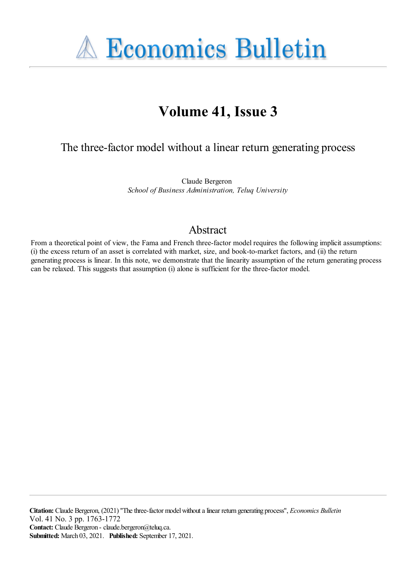

# **Volume 41, Issue 3**

## The three-factor model without a linear return generating process

Claude Bergeron *School of Business Administration, Teluq University*

### Abstract

From a theoretical point of view, the Fama and French three-factor model requires the following implicit assumptions: (i) the excess return of an asset is correlated with market, size, and book-to-market factors, and (ii) the return generating process is linear. In this note, we demonstrate that the linearity assumption of the return generating process can be relaxed. This suggests that assumption (i) alone is sufficient for the three-factor model.

**Citation:** Claude Bergeron, (2021) "The three-factor model without a linear return generating process", *Economics Bulletin* Vol. 41 No. 3 pp. 1763-1772 **Contact:** Claude Bergeron - claude.bergeron@teluq.ca. **Submitted:** March 03, 2021. **Published:** September 17, 2021.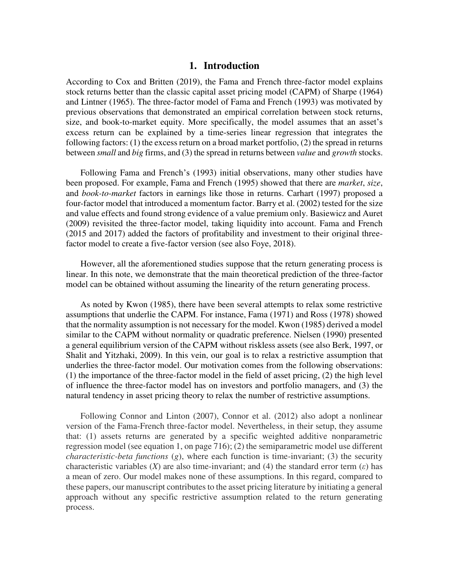#### **1. Introduction**

According to Cox and Britten (2019), the Fama and French three-factor model explains stock returns better than the classic capital asset pricing model (CAPM) of Sharpe (1964) and Lintner (1965). The three-factor model of Fama and French (1993) was motivated by previous observations that demonstrated an empirical correlation between stock returns, size, and book-to-market equity. More specifically, the model assumes that an asset's excess return can be explained by a time-series linear regression that integrates the following factors: (1) the excess return on a broad market portfolio, (2) the spread in returns between *small* and *big* firms, and (3) the spread in returns between *value* and *growth* stocks.

 Following Fama and French's (1993) initial observations, many other studies have been proposed. For example, Fama and French (1995) showed that there are *market*, *size*, and *book-to-market* factors in earnings like those in returns. Carhart (1997) proposed a four-factor model that introduced a momentum factor. Barry et al. (2002) tested for the size and value effects and found strong evidence of a value premium only. Basiewicz and Auret (2009) revisited the three-factor model, taking liquidity into account. Fama and French (2015 and 2017) added the factors of profitability and investment to their original threefactor model to create a five-factor version (see also Foye, 2018).

 However, all the aforementioned studies suppose that the return generating process is linear. In this note, we demonstrate that the main theoretical prediction of the three-factor model can be obtained without assuming the linearity of the return generating process.

 As noted by Kwon (1985), there have been several attempts to relax some restrictive assumptions that underlie the CAPM. For instance, Fama (1971) and Ross (1978) showed that the normality assumption is not necessary for the model. Kwon (1985) derived a model similar to the CAPM without normality or quadratic preference. Nielsen (1990) presented a general equilibrium version of the CAPM without riskless assets (see also Berk, 1997, or Shalit and Yitzhaki, 2009). In this vein, our goal is to relax a restrictive assumption that underlies the three-factor model. Our motivation comes from the following observations: (1) the importance of the three-factor model in the field of asset pricing, (2) the high level of influence the three-factor model has on investors and portfolio managers, and (3) the natural tendency in asset pricing theory to relax the number of restrictive assumptions.

 Following Connor and Linton (2007), Connor et al. (2012) also adopt a nonlinear version of the Fama-French three-factor model. Nevertheless, in their setup, they assume that: (1) assets returns are generated by a specific weighted additive nonparametric regression model (see equation 1, on page 716); (2) the semiparametric model use different *characteristic-beta functions* (*g*), where each function is time-invariant; (3) the security characteristic variables (*X*) are also time-invariant; and (4) the standard error term  $(\varepsilon)$  has a mean of zero. Our model makes none of these assumptions. In this regard, compared to these papers, our manuscript contributes to the asset pricing literature by initiating a general approach without any specific restrictive assumption related to the return generating process.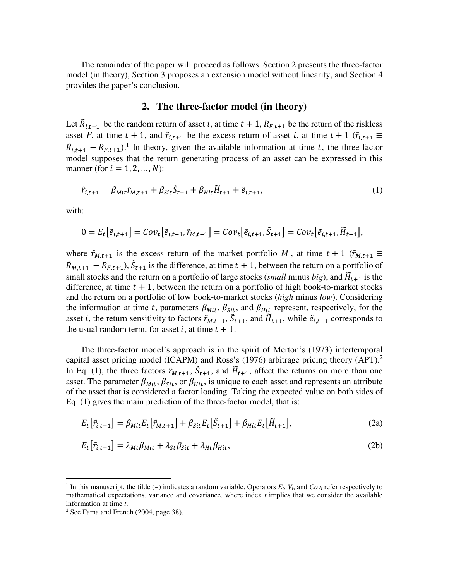The remainder of the paper will proceed as follows. Section 2 presents the three-factor model (in theory), Section 3 proposes an extension model without linearity, and Section 4 provides the paper's conclusion.

#### **2. The three-factor model (in theory)**

Let  $\overline{R}_{i,t+1}$  be the random return of asset *i*, at time  $t + 1$ ,  $R_{F,t+1}$  be the return of the riskless asset *F*, at time  $t + 1$ , and  $\tilde{r}_{i,t+1}$  be the excess return of asset i, at time  $t + 1$  ( $\tilde{r}_{i,t+1} \equiv$  $\tilde{R}_{i,t+1} - R_{F,t+1}$ .<sup>1</sup> In theory, given the available information at time t, the three-factor model supposes that the return generating process of an asset can be expressed in this manner (for  $i = 1, 2, ..., N$ ):

$$
\tilde{r}_{i,t+1} = \beta_{Mit}\tilde{r}_{M,t+1} + \beta_{Sit}\tilde{S}_{t+1} + \beta_{Hit}\tilde{H}_{t+1} + \tilde{e}_{i,t+1},\tag{1}
$$

with:

 $\overline{a}$ 

$$
0 = E_t\big[\tilde{e}_{i,t+1}\big] = Cov_t\big[\tilde{e}_{i,t+1}, \tilde{r}_{M,t+1}\big] = Cov_t\big[\tilde{e}_{i,t+1}, \tilde{S}_{t+1}\big] = Cov_t\big[\tilde{e}_{i,t+1}, \tilde{H}_{t+1}\big],
$$

where  $\tilde{r}_{M,t+1}$  is the excess return of the market portfolio M, at time  $t + 1$  ( $\tilde{r}_{M,t+1} \equiv$  $\overline{R}_{M,t+1} - R_{F,t+1}$ ,  $\overline{S}_{t+1}$  is the difference, at time  $t + 1$ , between the return on a portfolio of small stocks and the return on a portfolio of large stocks (*small* minus *big*), and  $\tilde{H}_{t+1}$  is the difference, at time  $t + 1$ , between the return on a portfolio of high book-to-market stocks and the return on a portfolio of low book-to-market stocks (*high* minus *low*). Considering the information at time t, parameters  $\beta_{Mit}$ ,  $\beta_{Sit}$ , and  $\beta_{Hit}$  represent, respectively, for the asset *i*, the return sensitivity to factors  $\tilde{r}_{M,t+1}$ ,  $\tilde{S}_{t+1}$ , and  $\tilde{H}_{t+1}$ , while  $\tilde{e}_{i,t+1}$  corresponds to the usual random term, for asset *i*, at time  $t + 1$ .

 The three-factor model's approach is in the spirit of Merton's (1973) intertemporal capital asset pricing model (ICAPM) and Ross's (1976) arbitrage pricing theory (APT).<sup>2</sup> In Eq. (1), the three factors  $\tilde{r}_{M,t+1}$ ,  $\tilde{S}_{t+1}$ , and  $\tilde{H}_{t+1}$ , affect the returns on more than one asset. The parameter  $\beta_{Mit}$ ,  $\beta_{Sit}$ , or  $\beta_{Hit}$ , is unique to each asset and represents an attribute of the asset that is considered a factor loading. Taking the expected value on both sides of Eq. (1) gives the main prediction of the three-factor model, that is:

$$
E_t\big[\tilde{r}_{i,t+1}\big] = \beta_{Mit} E_t\big[\tilde{r}_{M,t+1}\big] + \beta_{Sit} E_t\big[\tilde{S}_{t+1}\big] + \beta_{Hit} E_t\big[\tilde{H}_{t+1}\big],\tag{2a}
$$

$$
E_t[\tilde{r}_{i,t+1}] = \lambda_{Mt}\beta_{Mit} + \lambda_{St}\beta_{Sit} + \lambda_{Ht}\beta_{Hit},\tag{2b}
$$

<sup>&</sup>lt;sup>1</sup> In this manuscript, the tilde  $(\sim)$  indicates a random variable. Operators  $E_t$ ,  $V_t$ , and  $Cov_t$  refer respectively to mathematical expectations, variance and covariance, where index *t* implies that we consider the available information at time *t*.

<sup>&</sup>lt;sup>2</sup> See Fama and French (2004, page 38).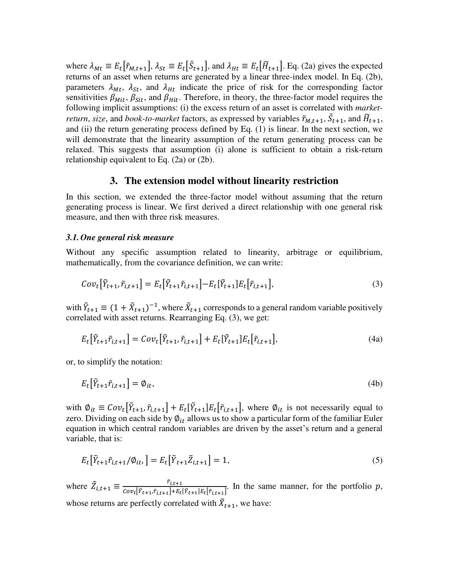where  $\lambda_{Mt} \equiv E_t[\tilde{r}_{M,t+1}], \lambda_{St} \equiv E_t[\tilde{S}_{t+1}],$  and  $\lambda_{Ht} \equiv E_t[\tilde{H}_{t+1}].$  Eq. (2a) gives the expected returns of an asset when returns are generated by a linear three-index model. In Eq. (2b), parameters  $\lambda_{Mt}$ ,  $\lambda_{St}$ , and  $\lambda_{Ht}$  indicate the price of risk for the corresponding factor sensitivities  $\beta_{Mit}$ ,  $\beta_{Sit}$ , and  $\beta_{Hit}$ . Therefore, in theory, the three-factor model requires the following implicit assumptions: (i) the excess return of an asset is correlated with *marketreturn, size,* and *book-to-market* factors, as expressed by variables  $\tilde{r}_{M,t+1}$ ,  $\tilde{S}_{t+1}$ , and  $\tilde{H}_{t+1}$ , and (ii) the return generating process defined by Eq. (1) is linear. In the next section, we will demonstrate that the linearity assumption of the return generating process can be relaxed. This suggests that assumption (i) alone is sufficient to obtain a risk-return relationship equivalent to Eq. (2a) or (2b).

#### **3. The extension model without linearity restriction**

In this section, we extended the three-factor model without assuming that the return generating process is linear. We first derived a direct relationship with one general risk measure, and then with three risk measures.

#### *3.1. One general risk measure*

Without any specific assumption related to linearity, arbitrage or equilibrium, mathematically, from the covariance definition, we can write:

$$
Cov_t[\tilde{Y}_{t+1}, \tilde{r}_{i,t+1}] = E_t[\tilde{Y}_{t+1}\tilde{r}_{i,t+1}] - E_t[\tilde{Y}_{t+1}]E_t[\tilde{r}_{i,t+1}],
$$
\n(3)

with  $\tilde{Y}_{t+1} \equiv (1 + \tilde{X}_{t+1})^{-1}$ , where  $\tilde{X}_{t+1}$  corresponds to a general random variable positively correlated with asset returns. Rearranging Eq. (3), we get:

$$
E_t[\tilde{Y}_{t+1}\tilde{r}_{i,t+1}] = Cov_t[\tilde{Y}_{t+1}, \tilde{r}_{i,t+1}] + E_t[\tilde{Y}_{t+1}]E_t[\tilde{r}_{i,t+1}],
$$
\n(4a)

or, to simplify the notation:

$$
E_t\big[\tilde{Y}_{t+1}\tilde{r}_{i,t+1}\big] = \emptyset_{it},\tag{4b}
$$

with  $\emptyset_{it} \equiv Cov_t[Y_{t+1}, \tilde{r}_{i,t+1}] + E_t[Y_{t+1}]E_t[\tilde{r}_{i,t+1}]$ , where  $\emptyset_{it}$  is not necessarily equal to zero. Dividing on each side by  $\varphi_{it}$  allows us to show a particular form of the familiar Euler equation in which central random variables are driven by the asset's return and a general variable, that is:

$$
E_t[\tilde{Y}_{t+1}\tilde{r}_{i,t+1}/\phi_{it},] = E_t[\tilde{Y}_{t+1}\tilde{Z}_{i,t+1}] = 1,
$$
\n(5)

where  $\tilde{Z}_{i,t+1} \equiv \frac{\tilde{r}_{i,t+1}}{Cov_{t}[\tilde{Y}_{t+1},\tilde{Y}_{i,t+1}]+E_{t}}$  $\frac{r_{i,t+1}}{Cov_{t}[\tilde{Y}_{t+1},\tilde{r}_{i,t+1}]+E_{t}[\tilde{Y}_{t+1}]E_{t}[\tilde{r}_{i,t+1}]}$ . In the same manner, for the portfolio p, whose returns are perfectly correlated with  $\ddot{X}_{t+1}$ , we have: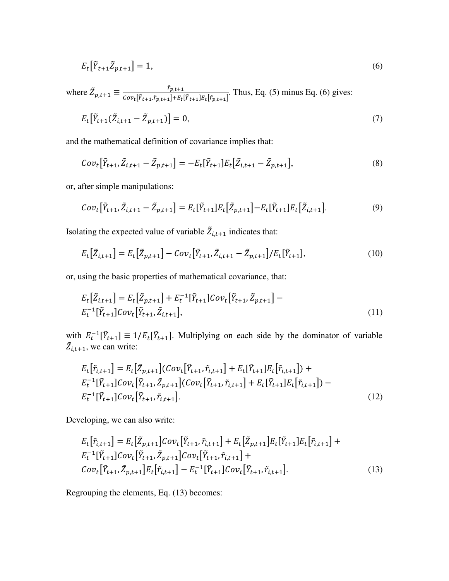$$
E_t\left[\tilde{Y}_{t+1}\tilde{Z}_{p,t+1}\right] = 1,\tag{6}
$$

where  $\tilde{Z}_{p,t+1} \equiv \frac{r_{p,t+1}}{Cov_{t}[\tilde{Y}_{t+1}, \tilde{Y}_{n,t+1}] + E_{t}}$  $\frac{p_{t+1}}{Cov_t[\tilde{Y}_{t+1}, \tilde{r}_{p,t+1}] + E_t[\tilde{Y}_{t+1}]E_t[\tilde{r}_{p,t+1}]}$ . Thus, Eq. (5) minus Eq. (6) gives:

$$
E_t[\tilde{Y}_{t+1}(\tilde{Z}_{i,t+1} - \tilde{Z}_{p,t+1})] = 0, \tag{7}
$$

and the mathematical definition of covariance implies that:

$$
Cov_t[\tilde{Y}_{t+1}, \tilde{Z}_{i,t+1} - \tilde{Z}_{p,t+1}] = -E_t[\tilde{Y}_{t+1}]E_t[\tilde{Z}_{i,t+1} - \tilde{Z}_{p,t+1}],
$$
\n(8)

or, after simple manipulations:

$$
Cov_t[\tilde{Y}_{t+1}, \tilde{Z}_{i,t+1} - \tilde{Z}_{p,t+1}] = E_t[\tilde{Y}_{t+1}]E_t[\tilde{Z}_{p,t+1}] - E_t[\tilde{Y}_{t+1}]E_t[\tilde{Z}_{i,t+1}].
$$
\n(9)

Isolating the expected value of variable  $\overline{Z}_{i,t+1}$  indicates that:

$$
E_t\big[\tilde{Z}_{i,t+1}\big] = E_t\big[\tilde{Z}_{p,t+1}\big] - Cov_t\big[\tilde{Y}_{t+1}, \tilde{Z}_{i,t+1} - \tilde{Z}_{p,t+1}\big]/E_t\big[\tilde{Y}_{t+1}\big],\tag{10}
$$

or, using the basic properties of mathematical covariance, that:

$$
E_t\left[\tilde{Z}_{i,t+1}\right] = E_t\left[\tilde{Z}_{p,t+1}\right] + E_t^{-1}\left[\tilde{Y}_{t+1}\right]Cov_t\left[\tilde{Y}_{t+1}, \tilde{Z}_{p,t+1}\right] - E_t^{-1}\left[\tilde{Y}_{t+1}\right]Cov_t\left[\tilde{Y}_{t+1}, \tilde{Z}_{i,t+1}\right],\tag{11}
$$

with  $E_t^{-1}[\tilde{Y}_{t+1}] \equiv 1/E_t[\tilde{Y}_{t+1}]$ . Multiplying on each side by the dominator of variable  $\bar{Z}_{i,t+1}$ , we can write:

$$
E_t[\tilde{r}_{i,t+1}] = E_t[\tilde{Z}_{p,t+1}](Cov_t[\tilde{Y}_{t+1}, \tilde{r}_{i,t+1}] + E_t[\tilde{Y}_{t+1}]E_t[\tilde{r}_{i,t+1}]) +E_t^{-1}[\tilde{Y}_{t+1}]Cov_t[\tilde{Y}_{t+1}, \tilde{Z}_{p,t+1}](Cov_t[\tilde{Y}_{t+1}, \tilde{r}_{i,t+1}] + E_t[\tilde{Y}_{t+1}]E_t[\tilde{r}_{i,t+1}]) -E_t^{-1}[\tilde{Y}_{t+1}]Cov_t[\tilde{Y}_{t+1}, \tilde{r}_{i,t+1}].
$$
\n(12)

Developing, we can also write:

$$
E_t[\tilde{r}_{i,t+1}] = E_t[\tilde{Z}_{p,t+1}]Cov_t[\tilde{Y}_{t+1}, \tilde{r}_{i,t+1}] + E_t[\tilde{Z}_{p,t+1}]E_t[\tilde{Y}_{t+1}]E_t[\tilde{r}_{i,t+1}] + E_t^{-1}[\tilde{Y}_{t+1}]Cov_t[\tilde{Y}_{t+1}, \tilde{Z}_{p,t+1}]Cov_t[\tilde{Y}_{t+1}, \tilde{r}_{i,t+1}] +
$$
  
\n
$$
Cov_t[\tilde{Y}_{t+1}, \tilde{Z}_{p,t+1}]E_t[\tilde{r}_{i,t+1}] - E_t^{-1}[\tilde{Y}_{t+1}]Cov_t[\tilde{Y}_{t+1}, \tilde{r}_{i,t+1}].
$$
\n(13)

Regrouping the elements, Eq. (13) becomes: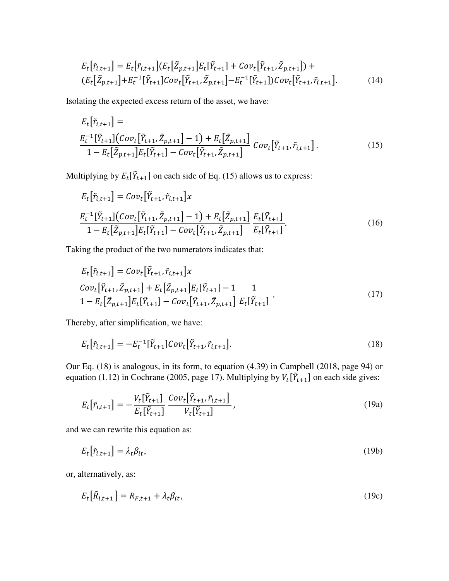$$
E_t[\tilde{r}_{i,t+1}] = E_t[\tilde{r}_{i,t+1}](E_t[\tilde{Z}_{p,t+1}]E_t[\tilde{Y}_{t+1}] + Cov_t[\tilde{Y}_{t+1}, \tilde{Z}_{p,t+1}]) +
$$
  
\n
$$
(E_t[\tilde{Z}_{p,t+1}] + E_t^{-1}[\tilde{Y}_{t+1}]Cov_t[\tilde{Y}_{t+1}, \tilde{Z}_{p,t+1}] - E_t^{-1}[\tilde{Y}_{t+1}])Cov_t[\tilde{Y}_{t+1}, \tilde{r}_{i,t+1}].
$$
\n(14)

Isolating the expected excess return of the asset, we have:

$$
E_t[\tilde{r}_{i,t+1}] =
$$
  
\n
$$
E_t^{-1}[\tilde{Y}_{t+1}](Cov_t[\tilde{Y}_{t+1}, \tilde{Z}_{p,t+1}] - 1) + E_t[\tilde{Z}_{p,t+1}] \nCov_t[\tilde{Y}_{t+1}, \tilde{r}_{i,t+1}].
$$
\n(15)

Multiplying by  $E_t[Y_{t+1}]$  on each side of Eq. (15) allows us to express:

$$
E_t[\tilde{r}_{i,t+1}] = Cov_t[\tilde{Y}_{t+1}, \tilde{r}_{i,t+1}]x
$$
  
\n
$$
\frac{E_t^{-1}[\tilde{Y}_{t+1}](Cov_t[\tilde{Y}_{t+1}, \tilde{Z}_{p,t+1}]-1) + E_t[\tilde{Z}_{p,t+1}]}{1 - E_t[\tilde{Z}_{p,t+1}]E_t[\tilde{Y}_{t+1}]-Cov_t[\tilde{Y}_{t+1}, \tilde{Z}_{p,t+1}]} \frac{E_t[\tilde{Y}_{t+1}]}{E_t[\tilde{Y}_{t+1}]}.
$$
\n(16)

Taking the product of the two numerators indicates that:

$$
E_t[\tilde{r}_{i,t+1}] = Cov_t[\tilde{Y}_{t+1}, \tilde{r}_{i,t+1}]x
$$
  
\n
$$
Cov_t[\tilde{Y}_{t+1}, \tilde{Z}_{p,t+1}] + E_t[\tilde{Z}_{p,t+1}]E_t[\tilde{Y}_{t+1}] - 1
$$
  
\n
$$
1 - E_t[\tilde{Z}_{p,t+1}]E_t[\tilde{Y}_{t+1}] - Cov_t[\tilde{Y}_{t+1}, \tilde{Z}_{p,t+1}] \overline{E_t[\tilde{Y}_{t+1}]}
$$
 (17)

Thereby, after simplification, we have:

$$
E_t[\tilde{r}_{i,t+1}] = -E_t^{-1}[\tilde{Y}_{t+1}]Cov_t[\tilde{Y}_{t+1}, \tilde{r}_{i,t+1}].
$$
\n(18)

Our Eq. (18) is analogous, in its form, to equation (4.39) in Campbell (2018, page 94) or equation (1.12) in Cochrane (2005, page 17). Multiplying by  $V_t[\tilde{Y}_{t+1}]$  on each side gives:

$$
E_t[\tilde{r}_{i,t+1}] = -\frac{V_t[\tilde{Y}_{t+1}]}{E_t[\tilde{Y}_{t+1}]} \frac{Cov_t[\tilde{Y}_{t+1}, \tilde{r}_{i,t+1}]}{V_t[\tilde{Y}_{t+1}]},
$$
\n(19a)

and we can rewrite this equation as:

$$
E_t[\tilde{r}_{i,t+1}] = \lambda_t \beta_{it},\tag{19b}
$$

or, alternatively, as:

$$
E_t\big[\tilde{R}_{i,t+1}\big] = R_{F,t+1} + \lambda_t \beta_{it},\tag{19c}
$$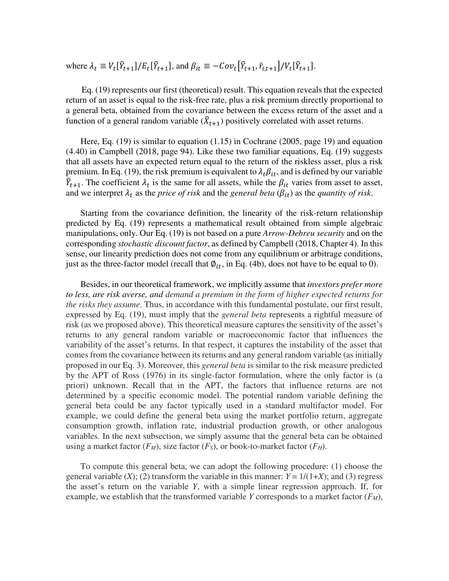where  $\lambda_t \equiv V_t[\tilde{Y}_{t+1}]/E_t[\tilde{Y}_{t+1}]$ , and  $\beta_{it} \equiv -Cov_t[\tilde{Y}_{t+1}, \tilde{r}_{i,t+1}]/V_t[\tilde{Y}_{t+1}]$ .

 Eq. (19) represents our first (theoretical) result. This equation reveals that the expected return of an asset is equal to the risk-free rate, plus a risk premium directly proportional to a general beta, obtained from the covariance between the excess return of the asset and a function of a general random variable  $(\ddot{X}_{t+1})$  positively correlated with asset returns.

 Here, Eq. (19) is similar to equation (1.15) in Cochrane (2005, page 19) and equation (4.40) in Campbell (2018, page 94). Like these two familiar equations, Eq. (19) suggests that all assets have an expected return equal to the return of the riskless asset, plus a risk premium. In Eq. (19), the risk premium is equivalent to  $\lambda_t \beta_{it}$ , and is defined by our variable  $\hat{Y}_{t+1}$ . The coefficient  $\lambda_t$  is the same for all assets, while the  $\beta_{it}$  varies from asset to asset, and we interpret  $\lambda_t$  as the *price of risk* and the *general beta* ( $\beta_{it}$ ) as the *quantity of risk*.

 Starting from the covariance definition, the linearity of the risk-return relationship predicted by Eq. (19) represents a mathematical result obtained from simple algebraic manipulations, only. Our Eq. (19) is not based on a pure *Arrow-Debreu security* and on the corresponding *stochastic discount factor*, as defined by Campbell (2018, Chapter 4). In this sense, our linearity prediction does not come from any equilibrium or arbitrage conditions, just as the three-factor model (recall that  $\varphi_{it}$ , in Eq. (4b), does not have to be equal to 0).

 Besides, in our theoretical framework, we implicitly assume that *investors prefer more to less, are risk averse, and demand a premium in the form of higher expected returns for the risks they assume*. Thus, in accordance with this fundamental postulate, our first result, expressed by Eq. (19), must imply that the *general beta* represents a rightful measure of risk (as we proposed above). This theoretical measure captures the sensitivity of the asset's returns to any general random variable or macroeconomic factor that influences the variability of the asset's returns. In that respect, it captures the instability of the asset that comes from the covariance between its returns and any general random variable (as initially proposed in our Eq. 3). Moreover, this *general beta* is similar to the risk measure predicted by the APT of Ross (1976) in its single-factor formulation, where the only factor is (a priori) unknown. Recall that in the APT, the factors that influence returns are not determined by a specific economic model. The potential random variable defining the general beta could be any factor typically used in a standard multifactor model. For example, we could define the general beta using the market portfolio return, aggregate consumption growth, inflation rate, industrial production growth, or other analogous variables. In the next subsection, we simply assume that the general beta can be obtained using a market factor  $(F_M)$ , size factor  $(F_S)$ , or book-to-market factor  $(F_H)$ .

 To compute this general beta, we can adopt the following procedure: (1) choose the general variable  $(X)$ ; (2) transform the variable in this manner:  $Y = 1/(1+X)$ ; and (3) regress the asset's return on the variable *Y*, with a simple linear regression approach. If, for example, we establish that the transformed variable *Y* corresponds to a market factor  $(F_M)$ ,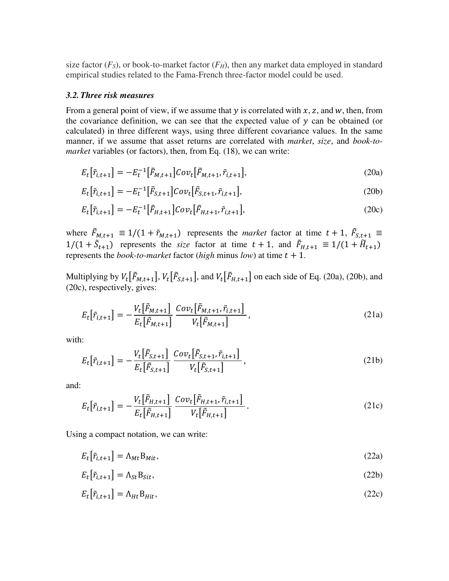size factor  $(F<sub>S</sub>)$ , or book-to-market factor  $(F<sub>H</sub>)$ , then any market data employed in standard empirical studies related to the Fama-French three-factor model could be used.

#### *3.2. Three risk measures*

From a general point of view, if we assume that  $y$  is correlated with  $x$ ,  $z$ , and  $w$ , then, from the covariance definition, we can see that the expected value of  $y$  can be obtained (or calculated) in three different ways, using three different covariance values. In the same manner, if we assume that asset returns are correlated with *market*, *size*, and *book-tomarket* variables (or factors), then, from Eq. (18), we can write:

$$
E_t[\tilde{r}_{i,t+1}] = -E_t^{-1}[\tilde{F}_{M,t+1}]Cov_t[\tilde{F}_{M,t+1}, \tilde{r}_{i,t+1}],
$$
\n(20a)

$$
E_t[\tilde{r}_{i,t+1}] = -E_t^{-1}[\tilde{F}_{S,t+1}]Cov_t[\tilde{F}_{S,t+1}, \tilde{r}_{i,t+1}],
$$
\n(20b)

$$
E_t[\tilde{r}_{i,t+1}] = -E_t^{-1}[\tilde{F}_{H,t+1}]Cov_t[\tilde{F}_{H,t+1}, \tilde{r}_{i,t+1}],
$$
\n(20c)

where  $\vec{F}_{M,t+1} \equiv 1/(1 + \tilde{r}_{M,t+1})$  represents the *market* factor at time  $t + 1$ ,  $\vec{F}_{S,t+1} \equiv$  $1/(1 + \tilde{S}_{t+1})$  represents the *size* factor at time  $t + 1$ , and  $\tilde{F}_{H,t+1} \equiv 1/(1 + \tilde{H}_{t+1})$ represents the *book-to-market* factor (*high* minus *low*) at time  $t + 1$ .

Multiplying by  $V_t[\tilde{F}_{M,t+1}], V_t[\tilde{F}_{S,t+1}],$  and  $V_t[\tilde{F}_{H,t+1}]$  on each side of Eq. (20a), (20b), and (20c), respectively, gives:

$$
E_t[\tilde{r}_{i,t+1}] = -\frac{V_t[\tilde{F}_{M,t+1}]}{E_t[\tilde{F}_{M,t+1}]} \frac{Cov_t[\tilde{F}_{M,t+1}, \tilde{r}_{i,t+1}]}{V_t[\tilde{F}_{M,t+1}]},
$$
(21a)

with:

$$
E_t[\tilde{r}_{i,t+1}] = -\frac{V_t[\tilde{F}_{S,t+1}]}{E_t[\tilde{F}_{S,t+1}]} \frac{Cov_t[\tilde{F}_{S,t+1}, \tilde{r}_{i,t+1}]}{V_t[\tilde{F}_{S,t+1}]},
$$
\n(21b)

and:

$$
E_t[\tilde{r}_{i,t+1}] = -\frac{V_t[\tilde{F}_{H,t+1}]}{E_t[\tilde{F}_{H,t+1}]} \frac{Cov_t[\tilde{F}_{H,t+1}, \tilde{r}_{i,t+1}]}{V_t[\tilde{F}_{H,t+1}]}.
$$
(21c)

Using a compact notation, we can write:

 $E_t\big[\tilde{r}_{i,t+1}\big] = \Lambda_{Mt} B_{Mit},$  (22a)

$$
E_t[\tilde{r}_{i,t+1}] = \Lambda_{St} B_{Sit},\tag{22b}
$$

$$
E_t[\tilde{r}_{i,t+1}] = \Lambda_{Ht} B_{Hit},\tag{22c}
$$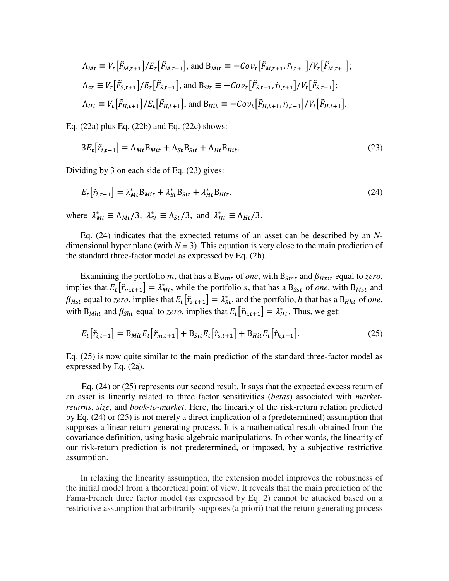$$
\Lambda_{Mt} \equiv V_t[\tilde{F}_{M,t+1}]/E_t[\tilde{F}_{M,t+1}], \text{ and } B_{Mit} \equiv -Cov_t[\tilde{F}_{M,t+1}, \tilde{r}_{i,t+1}]/V_t[\tilde{F}_{M,t+1}];
$$
  
\n
$$
\Lambda_{st} \equiv V_t[\tilde{F}_{S,t+1}]/E_t[\tilde{F}_{S,t+1}], \text{ and } B_{Sit} \equiv -Cov_t[\tilde{F}_{S,t+1}, \tilde{r}_{i,t+1}]/V_t[\tilde{F}_{S,t+1}];
$$
  
\n
$$
\Lambda_{Ht} \equiv V_t[\tilde{F}_{H,t+1}]/E_t[\tilde{F}_{H,t+1}], \text{ and } B_{Hit} \equiv -Cov_t[\tilde{F}_{H,t+1}, \tilde{r}_{i,t+1}]/V_t[\tilde{F}_{H,t+1}].
$$

Eq. (22a) plus Eq. (22b) and Eq. (22c) shows:

$$
3E_t[\tilde{r}_{i,t+1}] = \Lambda_{Mt}B_{Mit} + \Lambda_{St}B_{Sit} + \Lambda_{Ht}B_{Hit}.
$$
\n(23)

Dividing by 3 on each side of Eq. (23) gives:

$$
E_t[\tilde{r}_{i,t+1}] = \lambda_{Mt}^* B_{Mit} + \lambda_{St}^* B_{Sit} + \lambda_{Ht}^* B_{Hit}.
$$
\n(24)

where  $\lambda_{Mt}^* \equiv \Lambda_{Mt}/3$ ,  $\lambda_{St}^* \equiv \Lambda_{St}/3$ , and  $\lambda_{Ht}^* \equiv \Lambda_{Ht}/3$ .

 Eq. (24) indicates that the expected returns of an asset can be described by an *N*dimensional hyper plane (with  $N = 3$ ). This equation is very close to the main prediction of the standard three-factor model as expressed by Eq. (2b).

Examining the portfolio m, that has a  $B_{Mmt}$  of *one*, with  $B_{Smt}$  and  $\beta_{Hmt}$  equal to *zero*, implies that  $E_t[\tilde{r}_{m,t+1}] = \lambda_{Mt}^*$ , while the portfolio *s*, that has a B<sub>*sst*</sub> of *one*, with B<sub>*Mst*</sub> and  $\beta_{Hst}$  equal to *zero*, implies that  $E_t[\tilde{r}_{s,t+1}] = \lambda_{st}^*$ , and the portfolio, h that has a  $B_{Hht}$  of *one*, with  $B_{Mht}$  and  $\beta_{Sht}$  equal to *zero*, implies that  $E_t\left[\tilde{r}_{h,t+1}\right] = \lambda_{Ht}^*$ . Thus, we get:

$$
E_t[\tilde{r}_{i,t+1}] = B_{Mit} E_t[\tilde{r}_{m,t+1}] + B_{Sit} E_t[\tilde{r}_{s,t+1}] + B_{Hit} E_t[\tilde{r}_{h,t+1}].
$$
\n(25)

Eq. (25) is now quite similar to the main prediction of the standard three-factor model as expressed by Eq. (2a).

 Eq. (24) or (25) represents our second result. It says that the expected excess return of an asset is linearly related to three factor sensitivities (*betas*) associated with *marketreturns*, *size*, and *book-to-market*. Here, the linearity of the risk-return relation predicted by Eq. (24) or (25) is not merely a direct implication of a (predetermined) assumption that supposes a linear return generating process. It is a mathematical result obtained from the covariance definition, using basic algebraic manipulations. In other words, the linearity of our risk-return prediction is not predetermined, or imposed, by a subjective restrictive assumption.

 In relaxing the linearity assumption, the extension model improves the robustness of the initial model from a theoretical point of view. It reveals that the main prediction of the Fama-French three factor model (as expressed by Eq. 2) cannot be attacked based on a restrictive assumption that arbitrarily supposes (a priori) that the return generating process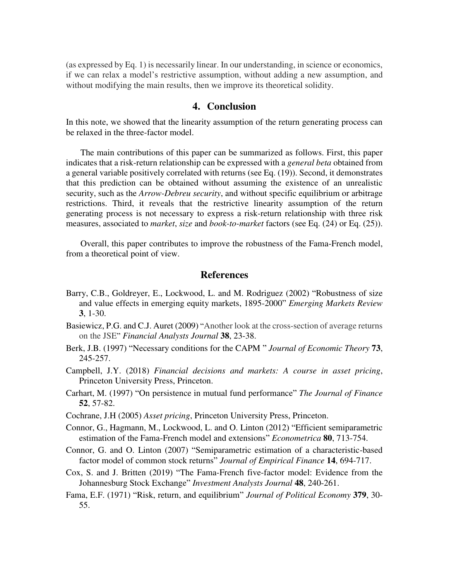(as expressed by Eq. 1) is necessarily linear. In our understanding, in science or economics, if we can relax a model's restrictive assumption, without adding a new assumption, and without modifying the main results, then we improve its theoretical solidity.

#### **4. Conclusion**

In this note, we showed that the linearity assumption of the return generating process can be relaxed in the three-factor model.

 The main contributions of this paper can be summarized as follows. First, this paper indicates that a risk-return relationship can be expressed with a *general beta* obtained from a general variable positively correlated with returns (see Eq. (19)). Second, it demonstrates that this prediction can be obtained without assuming the existence of an unrealistic security, such as the *Arrow-Debreu security*, and without specific equilibrium or arbitrage restrictions. Third, it reveals that the restrictive linearity assumption of the return generating process is not necessary to express a risk-return relationship with three risk measures, associated to *market*, *size* and *book-to-market* factors (see Eq. (24) or Eq. (25)).

 Overall, this paper contributes to improve the robustness of the Fama-French model, from a theoretical point of view.

#### **References**

- Barry, C.B., Goldreyer, E., Lockwood, L. and M. Rodriguez (2002) "Robustness of size and value effects in emerging equity markets, 1895-2000" *Emerging Markets Review* **3**, 1-30.
- Basiewicz, P.G. and C.J. Auret (2009) "Another look at the cross-section of average returns on the JSEˮ *Financial Analysts Journal* **38**, 23-38.
- Berk, J.B. (1997) "Necessary conditions for the CAPM ˮ *Journal of Economic Theory* **73**, 245-257.
- Campbell, J.Y. (2018) *Financial decisions and markets: A course in asset pricing*, Princeton University Press, Princeton.
- Carhart, M. (1997) "On persistence in mutual fund performance" *The Journal of Finance* **52**, 57-82.
- Cochrane, J.H (2005) *Asset pricing*, Princeton University Press, Princeton.
- Connor, G., Hagmann, M., Lockwood, L. and O. Linton (2012) "Efficient semiparametric estimation of the Fama-French model and extensions" *Econometrica* 80, 713-754.
- Connor, G. and O. Linton (2007) "Semiparametric estimation of a characteristic-based factor model of common stock returns" Journal of Empirical Finance 14, 694-717.
- Cox, S. and J. Britten (2019) "The Fama-French five-factor model: Evidence from the Johannesburg Stock Exchangeˮ *Investment Analysts Journal* **48**, 240-261.
- Fama, E.F. (1971) "Risk, return, and equilibriumˮ *Journal of Political Economy* **379**, 30- 55.